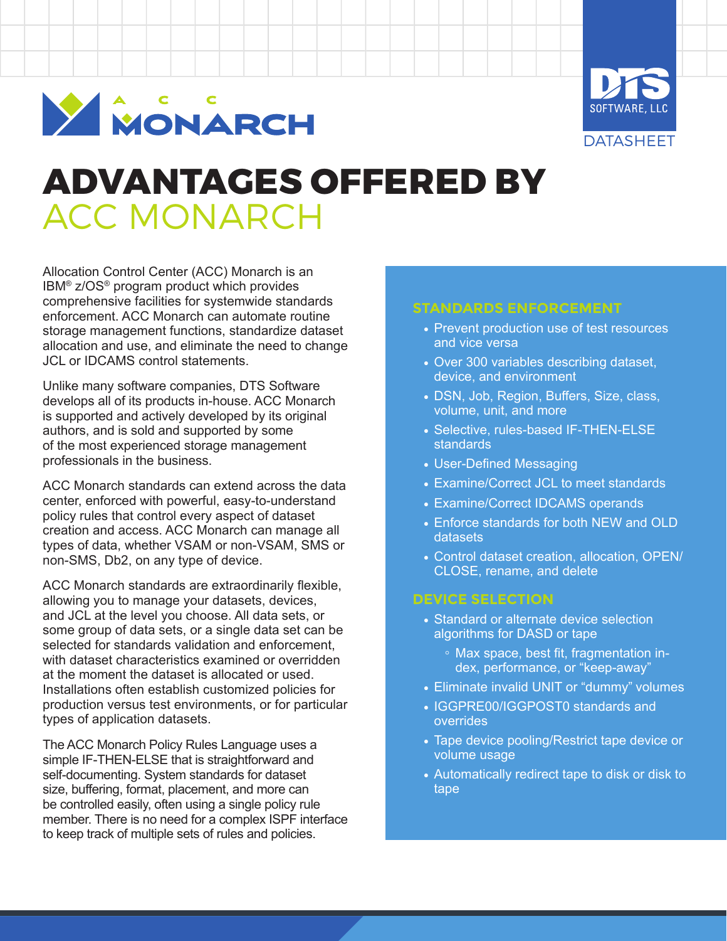



# **ADVANTAGES OFFERED BY** ACC MONARCH

Allocation Control Center (ACC) Monarch is an IBM® z/OS® program product which provides comprehensive facilities for systemwide standards enforcement. ACC Monarch can automate routine storage management functions, standardize dataset allocation and use, and eliminate the need to change JCL or IDCAMS control statements.

Unlike many software companies, DTS Software develops all of its products in-house. ACC Monarch is supported and actively developed by its original authors, and is sold and supported by some of the most experienced storage management professionals in the business.

ACC Monarch standards can extend across the data center, enforced with powerful, easy-to-understand policy rules that control every aspect of dataset creation and access. ACC Monarch can manage all types of data, whether VSAM or non-VSAM, SMS or non-SMS, Db2, on any type of device.

ACC Monarch standards are extraordinarily flexible, allowing you to manage your datasets, devices, and JCL at the level you choose. All data sets, or some group of data sets, or a single data set can be selected for standards validation and enforcement, with dataset characteristics examined or overridden at the moment the dataset is allocated or used. Installations often establish customized policies for production versus test environments, or for particular types of application datasets.

The ACC Monarch Policy Rules Language uses a simple IF-THEN-ELSE that is straightforward and self-documenting. System standards for dataset size, buffering, format, placement, and more can be controlled easily, often using a single policy rule member. There is no need for a complex ISPF interface to keep track of multiple sets of rules and policies.

#### **STANDARDS ENFORCEMENT**

- Prevent production use of test resources and vice versa
- Over 300 variables describing dataset, device, and environment
- DSN, Job, Region, Buffers, Size, class, volume, unit, and more
- Selective, rules-based IF-THEN-ELSE standards
- User-Defined Messaging
- Examine/Correct JCL to meet standards
- Examine/Correct IDCAMS operands
- Enforce standards for both NEW and OLD datasets
- Control dataset creation, allocation, OPEN/ CLOSE, rename, and delete

#### **DEVICE SELECTION**

- Standard or alternate device selection algorithms for DASD or tape
	- Max space, best fit, fragmentation index, performance, or "keep-away"
- Eliminate invalid UNIT or "dummy" volumes
- IGGPRE00/IGGPOST0 standards and overrides
- Tape device pooling/Restrict tape device or volume usage
- Automatically redirect tape to disk or disk to tape